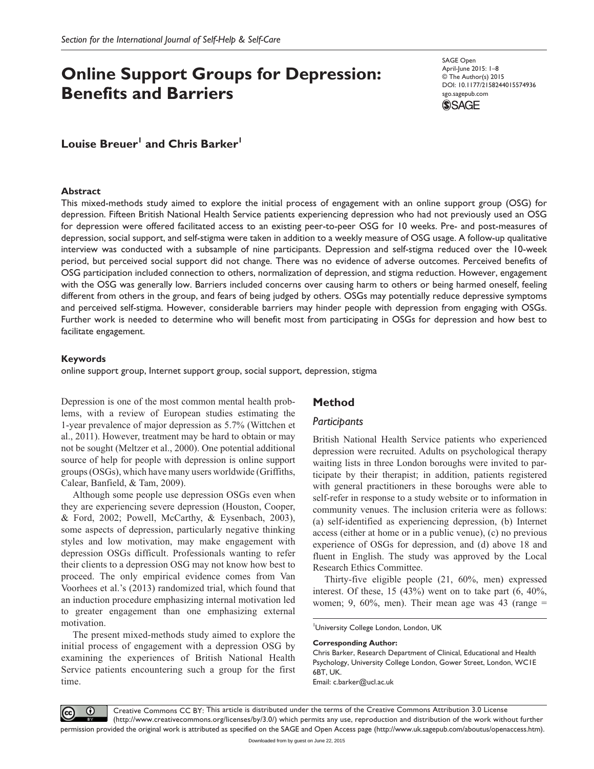# **Online Support Groups for Depression: Benefits and Barriers**

SAGE Open April-June 2015: 1–8 © The Author(s) 2015 DOI: 10.1177/2158244015574936 sgo.sagepub.com



 $L$ ouise Breuer<sup>1</sup> and Chris Barker<sup>1</sup>

## **Abstract**

This mixed-methods study aimed to explore the initial process of engagement with an online support group (OSG) for depression. Fifteen British National Health Service patients experiencing depression who had not previously used an OSG for depression were offered facilitated access to an existing peer-to-peer OSG for 10 weeks. Pre- and post-measures of depression, social support, and self-stigma were taken in addition to a weekly measure of OSG usage. A follow-up qualitative interview was conducted with a subsample of nine participants. Depression and self-stigma reduced over the 10-week period, but perceived social support did not change. There was no evidence of adverse outcomes. Perceived benefits of OSG participation included connection to others, normalization of depression, and stigma reduction. However, engagement with the OSG was generally low. Barriers included concerns over causing harm to others or being harmed oneself, feeling different from others in the group, and fears of being judged by others. OSGs may potentially reduce depressive symptoms and perceived self-stigma. However, considerable barriers may hinder people with depression from engaging with OSGs. Further work is needed to determine who will benefit most from participating in OSGs for depression and how best to facilitate engagement.

## **Keywords**

 $\odot$ 

(cc)

online support group, Internet support group, social support, depression, stigma

Depression is one of the most common mental health problems, with a review of European studies estimating the 1-year prevalence of major depression as 5.7% (Wittchen et al., 2011). However, treatment may be hard to obtain or may not be sought (Meltzer et al., 2000). One potential additional source of help for people with depression is online support groups (OSGs), which have many users worldwide (Griffiths, Calear, Banfield, & Tam, 2009).

Although some people use depression OSGs even when they are experiencing severe depression (Houston, Cooper, & Ford, 2002; Powell, McCarthy, & Eysenbach, 2003), some aspects of depression, particularly negative thinking styles and low motivation, may make engagement with depression OSGs difficult. Professionals wanting to refer their clients to a depression OSG may not know how best to proceed. The only empirical evidence comes from Van Voorhees et al.'s (2013) randomized trial, which found that an induction procedure emphasizing internal motivation led to greater engagement than one emphasizing external motivation.

The present mixed-methods study aimed to explore the initial process of engagement with a depression OSG by examining the experiences of British National Health Service patients encountering such a group for the first time.

# **Method**

## *Participants*

British National Health Service patients who experienced depression were recruited. Adults on psychological therapy waiting lists in three London boroughs were invited to participate by their therapist; in addition, patients registered with general practitioners in these boroughs were able to self-refer in response to a study website or to information in community venues. The inclusion criteria were as follows: (a) self-identified as experiencing depression, (b) Internet access (either at home or in a public venue), (c) no previous experience of OSGs for depression, and (d) above 18 and fluent in English. The study was approved by the Local Research Ethics Committee.

Thirty-five eligible people (21, 60%, men) expressed interest. Of these,  $15 \ (43\%)$  went on to take part  $(6, 40\%$ , women; 9, 60%, men). Their mean age was 43 (range  $=$ 

University College London, London, UK

#### **Corresponding Author:**

Chris Barker, Research Department of Clinical, Educational and Health Psychology, University College London, Gower Street, London, WC1E 6BT, UK. Email: [c.barker@ucl.ac.uk](mailto:c.barker@ucl.ac.uk)

Creative Commons CC BY: This article is distributed under the terms of the Creative Commons Attribution 3.0 License

(http://www.creativecommons.org/licenses/by/3.0/) which permits any use, reproduction and distribution of the work without further permission provided the original work is attributed as specified on the SAGE and Open Access page (http://www.uk.sagepub.com/aboutus/openaccess.htm).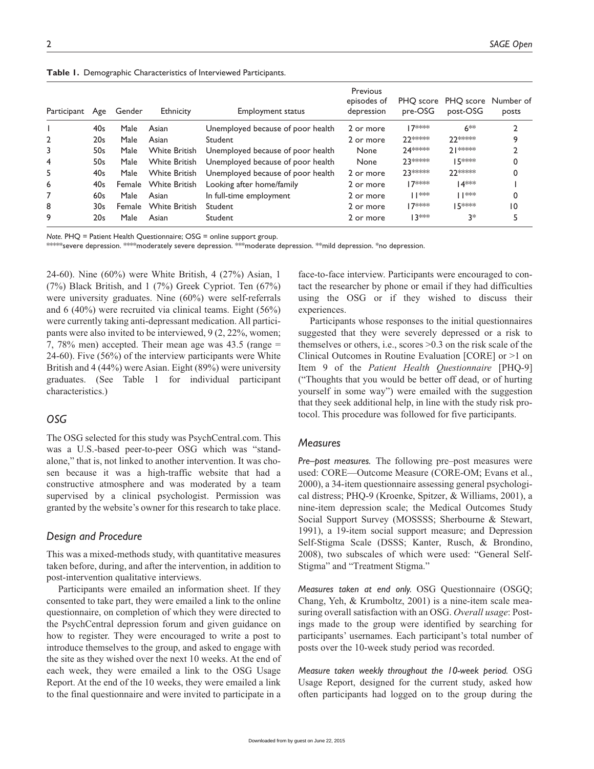|  |  |  | Table 1. Demographic Characteristics of Interviewed Participants. |  |  |  |
|--|--|--|-------------------------------------------------------------------|--|--|--|
|--|--|--|-------------------------------------------------------------------|--|--|--|

| Participant | Age | Gender | Ethnicity            | <b>Employment status</b>          | Previous<br>episodes of<br>depression | PHO score<br>pre-OSG | PHO score<br>post-OSG | Number of<br>posts |
|-------------|-----|--------|----------------------|-----------------------------------|---------------------------------------|----------------------|-----------------------|--------------------|
|             | 40s | Male   | Asian                | Unemployed because of poor health | 2 or more                             | l7***                | 6**                   |                    |
| 2           | 20s | Male   | Asian                | Student                           | 2 or more                             | 22 ***               | 22 ****               | 9                  |
| 3           | 50s | Male   | White British        | Unemployed because of poor health | None                                  | 74****               | $21$ ****             |                    |
| 4           | 50s | Male   | White British        | Unemployed because of poor health | None                                  | $23$ ****            | $15***$               | $\Omega$           |
| 5           | 40s | Male   | <b>White British</b> | Unemployed because of poor health | 2 or more                             | $23$ ****            | 22 ***                | 0                  |
| 6           | 40s | Female | <b>White British</b> | Looking after home/family         | 2 or more                             | l7***                | $14***$               |                    |
| 7           | 60s | Male   | Asian                | In full-time employment           | 2 or more                             | $11***$              | $11***$               | $\Omega$           |
| 8           | 30s | Female | <b>White British</b> | Student                           | 2 or more                             | 7****                | $15***$               | 10                 |
| 9           | 20s | Male   | Asian                | Student                           | 2 or more                             | ∣ २***               | 3*                    |                    |

*Note.* PHQ = Patient Health Questionnaire; OSG = online support group.

\*\*\*\*\*severe depression. \*\*\*\*moderately severe depression. \*\*\*moderate depression. \*\*mild depression. \*no depression.

24-60). Nine (60%) were White British, 4 (27%) Asian, 1 (7%) Black British, and 1 (7%) Greek Cypriot. Ten (67%) were university graduates. Nine (60%) were self-referrals and 6 (40%) were recruited via clinical teams. Eight (56%) were currently taking anti-depressant medication. All participants were also invited to be interviewed, 9 (2, 22%, women; 7, 78% men) accepted. Their mean age was  $43.5$  (range = 24-60). Five (56%) of the interview participants were White British and 4 (44%) were Asian. Eight (89%) were university graduates. (See Table 1 for individual participant characteristics.)

## *OSG*

The OSG selected for this study was PsychCentral.com. This was a U.S.-based peer-to-peer OSG which was "standalone," that is, not linked to another intervention. It was chosen because it was a high-traffic website that had a constructive atmosphere and was moderated by a team supervised by a clinical psychologist. Permission was granted by the website's owner for this research to take place.

## *Design and Procedure*

This was a mixed-methods study, with quantitative measures taken before, during, and after the intervention, in addition to post-intervention qualitative interviews.

Participants were emailed an information sheet. If they consented to take part, they were emailed a link to the online questionnaire, on completion of which they were directed to the PsychCentral depression forum and given guidance on how to register. They were encouraged to write a post to introduce themselves to the group, and asked to engage with the site as they wished over the next 10 weeks. At the end of each week, they were emailed a link to the OSG Usage Report. At the end of the 10 weeks, they were emailed a link to the final questionnaire and were invited to participate in a

face-to-face interview. Participants were encouraged to contact the researcher by phone or email if they had difficulties using the OSG or if they wished to discuss their experiences.

Participants whose responses to the initial questionnaires suggested that they were severely depressed or a risk to themselves or others, i.e., scores >0.3 on the risk scale of the Clinical Outcomes in Routine Evaluation [CORE] or >1 on Item 9 of the *Patient Health Questionnaire* [PHQ-9] ("Thoughts that you would be better off dead, or of hurting yourself in some way") were emailed with the suggestion that they seek additional help, in line with the study risk protocol. This procedure was followed for five participants.

## *Measures*

*Pre–post measures.* The following pre–post measures were used: CORE—Outcome Measure (CORE-OM; Evans et al., 2000), a 34-item questionnaire assessing general psychological distress; PHQ-9 (Kroenke, Spitzer, & Williams, 2001), a nine-item depression scale; the Medical Outcomes Study Social Support Survey (MOSSSS; Sherbourne & Stewart, 1991), a 19-item social support measure; and Depression Self-Stigma Scale (DSSS; Kanter, Rusch, & Brondino, 2008), two subscales of which were used: "General Self-Stigma" and "Treatment Stigma."

*Measures taken at end only.* OSG Questionnaire (OSGQ; Chang, Yeh, & Krumboltz, 2001) is a nine-item scale measuring overall satisfaction with an OSG. *Overall usage*: Postings made to the group were identified by searching for participants' usernames. Each participant's total number of posts over the 10-week study period was recorded.

*Measure taken weekly throughout the 10-week period.* OSG Usage Report, designed for the current study, asked how often participants had logged on to the group during the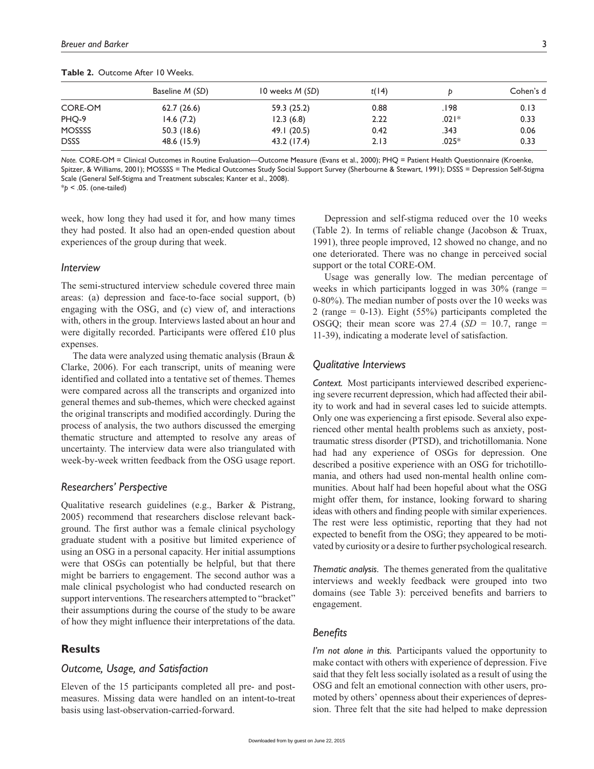|                | Baseline M (SD) | 10 weeks M (SD) | t(14) |         | Cohen's d |
|----------------|-----------------|-----------------|-------|---------|-----------|
| <b>CORE-OM</b> | 62.7(26.6)      | 59.3 (25.2)     | 0.88  | .198    | 0.13      |
| PHQ-9          | 14.6(7.2)       | 12.3(6.8)       | 2.22  | $.021*$ | 0.33      |
| <b>MOSSSS</b>  | 50.3(18.6)      | 49.1 (20.5)     | 0.42  | .343    | 0.06      |
| <b>DSSS</b>    | 48.6 (15.9)     | 43.2 (17.4)     | 2.13  | $.025*$ | 0.33      |

**Table 2.** Outcome After 10 Weeks.

*Note.* CORE-OM = Clinical Outcomes in Routine Evaluation—Outcome Measure (Evans et al., 2000); PHQ = Patient Health Questionnaire (Kroenke, Spitzer, & Williams, 2001); MOSSSS = The Medical Outcomes Study Social Support Survey (Sherbourne & Stewart, 1991); DSSS = Depression Self-Stigma Scale (General Self-Stigma and Treatment subscales; Kanter et al., 2008). \**p* < .05. (one-tailed)

week, how long they had used it for, and how many times they had posted. It also had an open-ended question about experiences of the group during that week.

#### *Interview*

The semi-structured interview schedule covered three main areas: (a) depression and face-to-face social support, (b) engaging with the OSG, and (c) view of, and interactions with, others in the group. Interviews lasted about an hour and were digitally recorded. Participants were offered £10 plus expenses.

The data were analyzed using thematic analysis (Braun & Clarke, 2006). For each transcript, units of meaning were identified and collated into a tentative set of themes. Themes were compared across all the transcripts and organized into general themes and sub-themes, which were checked against the original transcripts and modified accordingly. During the process of analysis, the two authors discussed the emerging thematic structure and attempted to resolve any areas of uncertainty. The interview data were also triangulated with week-by-week written feedback from the OSG usage report.

## *Researchers' Perspective*

Qualitative research guidelines (e.g., Barker & Pistrang, 2005) recommend that researchers disclose relevant background. The first author was a female clinical psychology graduate student with a positive but limited experience of using an OSG in a personal capacity. Her initial assumptions were that OSGs can potentially be helpful, but that there might be barriers to engagement. The second author was a male clinical psychologist who had conducted research on support interventions. The researchers attempted to "bracket" their assumptions during the course of the study to be aware of how they might influence their interpretations of the data.

## **Results**

## *Outcome, Usage, and Satisfaction*

Eleven of the 15 participants completed all pre- and postmeasures. Missing data were handled on an intent-to-treat basis using last-observation-carried-forward.

Depression and self-stigma reduced over the 10 weeks (Table 2). In terms of reliable change (Jacobson & Truax, 1991), three people improved, 12 showed no change, and no one deteriorated. There was no change in perceived social support or the total CORE-OM.

Usage was generally low. The median percentage of weeks in which participants logged in was  $30\%$  (range = 0-80%). The median number of posts over the 10 weeks was 2 (range  $= 0-13$ ). Eight (55%) participants completed the OSGQ; their mean score was  $27.4$  (*SD* = 10.7, range = 11-39), indicating a moderate level of satisfaction.

## *Qualitative Interviews*

*Context.* Most participants interviewed described experiencing severe recurrent depression, which had affected their ability to work and had in several cases led to suicide attempts. Only one was experiencing a first episode. Several also experienced other mental health problems such as anxiety, posttraumatic stress disorder (PTSD), and trichotillomania. None had had any experience of OSGs for depression. One described a positive experience with an OSG for trichotillomania, and others had used non-mental health online communities. About half had been hopeful about what the OSG might offer them, for instance, looking forward to sharing ideas with others and finding people with similar experiences. The rest were less optimistic, reporting that they had not expected to benefit from the OSG; they appeared to be motivated by curiosity or a desire to further psychological research.

*Thematic analysis.* The themes generated from the qualitative interviews and weekly feedback were grouped into two domains (see Table 3): perceived benefits and barriers to engagement.

## *Benefits*

*I'm not alone in this.* Participants valued the opportunity to make contact with others with experience of depression. Five said that they felt less socially isolated as a result of using the OSG and felt an emotional connection with other users, promoted by others' openness about their experiences of depression. Three felt that the site had helped to make depression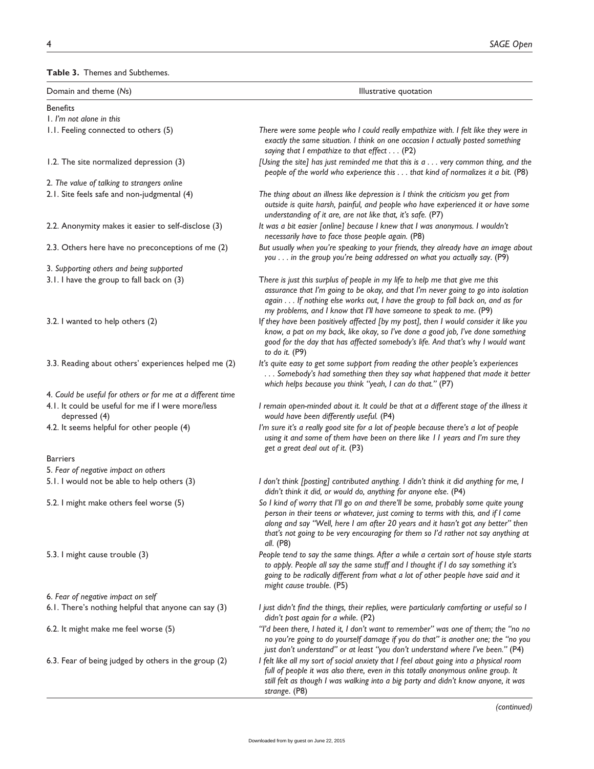# **Table 3.** Themes and Subthemes.

| Domain and theme (Ns)                                               | Illustrative quotation                                                                                                                                                                                                                                                                                                                                        |
|---------------------------------------------------------------------|---------------------------------------------------------------------------------------------------------------------------------------------------------------------------------------------------------------------------------------------------------------------------------------------------------------------------------------------------------------|
| <b>Benefits</b>                                                     |                                                                                                                                                                                                                                                                                                                                                               |
| 1. I'm not alone in this                                            |                                                                                                                                                                                                                                                                                                                                                               |
| 1.1. Feeling connected to others (5)                                | There were some people who I could really empathize with. I felt like they were in<br>exactly the same situation. I think on one occasion I actually posted something<br>saying that I empathize to that effect (P2)                                                                                                                                          |
| 1.2. The site normalized depression (3)                             | [Using the site] has just reminded me that this is a very common thing, and the<br>people of the world who experience this that kind of normalizes it a bit. (P8)                                                                                                                                                                                             |
| 2. The value of talking to strangers online                         |                                                                                                                                                                                                                                                                                                                                                               |
| 2.1. Site feels safe and non-judgmental (4)                         | The thing about an illness like depression is I think the criticism you get from<br>outside is quite harsh, painful, and people who have experienced it or have some<br>understanding of it are, are not like that, it's safe. (P7)                                                                                                                           |
| 2.2. Anonymity makes it easier to self-disclose (3)                 | It was a bit easier [online] because I knew that I was anonymous. I wouldn't<br>necessarily have to face those people again. (P8)                                                                                                                                                                                                                             |
| 2.3. Others here have no preconceptions of me (2)                   | But usually when you're speaking to your friends, they already have an image about<br>you in the group you're being addressed on what you actually say. (P9)                                                                                                                                                                                                  |
| 3. Supporting others and being supported                            |                                                                                                                                                                                                                                                                                                                                                               |
| 3.1. I have the group to fall back on (3)                           | There is just this surplus of people in my life to help me that give me this<br>assurance that I'm going to be okay, and that I'm never going to go into isolation<br>again If nothing else works out, I have the group to fall back on, and as for<br>my problems, and I know that I'll have someone to speak to me. (P9)                                    |
| 3.2. I wanted to help others (2)                                    | If they have been positively affected [by my post], then I would consider it like you<br>know, a pat on my back, like okay, so I've done a good job, I've done something<br>good for the day that has affected somebody's life. And that's why I would want<br>to do it. (P9)                                                                                 |
| 3.3. Reading about others' experiences helped me (2)                | It's quite easy to get some support from reading the other people's experiences<br>Somebody's had something then they say what happened that made it better<br>which helps because you think "yeah, I can do that." (P7)                                                                                                                                      |
| 4. Could be useful for others or for me at a different time         |                                                                                                                                                                                                                                                                                                                                                               |
| 4.1. It could be useful for me if I were more/less<br>depressed (4) | I remain open-minded about it. It could be that at a different stage of the illness it<br>would have been differently useful. (P4)                                                                                                                                                                                                                            |
| 4.2. It seems helpful for other people (4)                          | I'm sure it's a really good site for a lot of people because there's a lot of people<br>using it and some of them have been on there like II years and I'm sure they<br>get a great deal out of it. (P3)                                                                                                                                                      |
| <b>Barriers</b>                                                     |                                                                                                                                                                                                                                                                                                                                                               |
| 5. Fear of negative impact on others                                |                                                                                                                                                                                                                                                                                                                                                               |
| 5.1. I would not be able to help others (3)                         | I don't think [posting] contributed anything. I didn't think it did anything for me, I<br>didn't think it did, or would do, anything for anyone else. (P4)                                                                                                                                                                                                    |
| 5.2. I might make others feel worse (5)                             | So I kind of worry that I'll go on and there'll be some, probably some quite young<br>person in their teens or whatever, just coming to terms with this, and if I come<br>along and say "Well, here I am after 20 years and it hasn't got any better" then<br>that's not going to be very encouraging for them so I'd rather not say anything at<br>all. (P8) |
| 5.3. I might cause trouble (3)                                      | People tend to say the same things. After a while a certain sort of house style starts<br>to apply. People all say the same stuff and I thought if I do say something it's<br>going to be radically different from what a lot of other people have said and it<br>might cause trouble. (P5)                                                                   |
| 6. Fear of negative impact on self                                  |                                                                                                                                                                                                                                                                                                                                                               |
| 6.1. There's nothing helpful that anyone can say (3)                | I just didn't find the things, their replies, were particularly comforting or useful so I<br>didn't post again for a while. (P2)                                                                                                                                                                                                                              |
| 6.2. It might make me feel worse (5)                                | "I'd been there, I hated it, I don't want to remember" was one of them; the "no no<br>no you're going to do yourself damage if you do that" is another one; the "no you<br>just don't understand" or at least "you don't understand where I've been." (P4)                                                                                                    |
| 6.3. Fear of being judged by others in the group (2)                | I felt like all my sort of social anxiety that I feel about going into a physical room<br>full of people it was also there, even in this totally anonymous online group. It<br>still felt as though I was walking into a big party and didn't know anyone, it was<br>strange. (P8)                                                                            |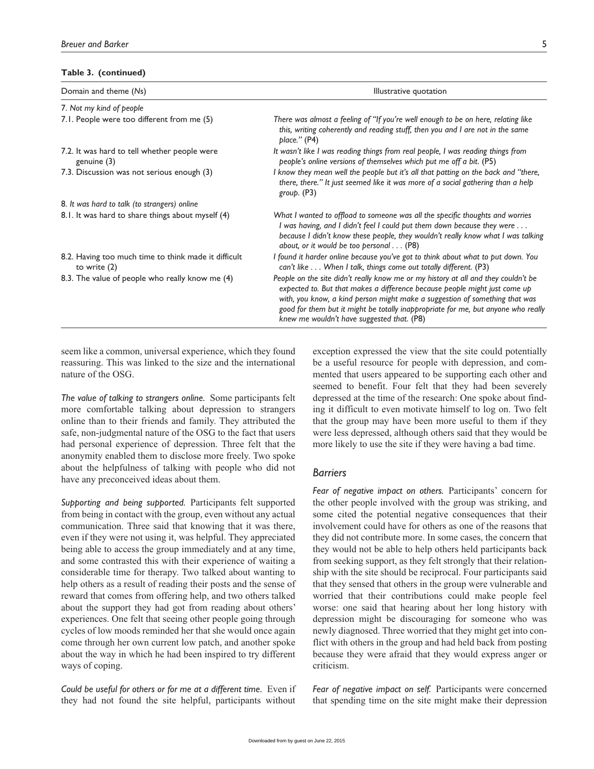**Table 3. (continued)**

| Domain and theme (Ns)                                                  | Illustrative quotation                                                                                                                                                                                                                                                                                                                                                             |  |  |  |
|------------------------------------------------------------------------|------------------------------------------------------------------------------------------------------------------------------------------------------------------------------------------------------------------------------------------------------------------------------------------------------------------------------------------------------------------------------------|--|--|--|
| 7. Not my kind of people                                               |                                                                                                                                                                                                                                                                                                                                                                                    |  |  |  |
| 7.1. People were too different from me (5)                             | There was almost a feeling of "If you're well enough to be on here, relating like<br>this, writing coherently and reading stuff, then you and I are not in the same<br>place." (P4)                                                                                                                                                                                                |  |  |  |
| 7.2. It was hard to tell whether people were<br>genuine $(3)$          | It wasn't like I was reading things from real people, I was reading things from<br>people's online versions of themselves which put me off a bit. (P5)                                                                                                                                                                                                                             |  |  |  |
| 7.3. Discussion was not serious enough (3)                             | I know they mean well the people but it's all that patting on the back and "there,<br>there, there." It just seemed like it was more of a social gathering than a help<br>group. $(P3)$                                                                                                                                                                                            |  |  |  |
| 8. It was hard to talk (to strangers) online                           |                                                                                                                                                                                                                                                                                                                                                                                    |  |  |  |
| 8.1. It was hard to share things about myself (4)                      | What I wanted to offload to someone was all the specific thoughts and worries<br>I was having, and I didn't feel I could put them down because they were<br>because I didn't know these people, they wouldn't really know what I was talking<br>about, or it would be too personal (P8)                                                                                            |  |  |  |
| 8.2. Having too much time to think made it difficult<br>to write $(2)$ | I found it harder online because you've got to think about what to put down. You<br>can't like When I talk, things come out totally different. (P3)                                                                                                                                                                                                                                |  |  |  |
| 8.3. The value of people who really know me (4)                        | People on the site didn't really know me or my history at all and they couldn't be<br>expected to. But that makes a difference because people might just come up<br>with, you know, a kind person might make a suggestion of something that was<br>good for them but it might be totally inappropriate for me, but anyone who really<br>knew me wouldn't have suggested that. (P8) |  |  |  |

seem like a common, universal experience, which they found reassuring. This was linked to the size and the international nature of the OSG.

*The value of talking to strangers online.* Some participants felt more comfortable talking about depression to strangers online than to their friends and family. They attributed the safe, non-judgmental nature of the OSG to the fact that users had personal experience of depression. Three felt that the anonymity enabled them to disclose more freely. Two spoke about the helpfulness of talking with people who did not have any preconceived ideas about them.

*Supporting and being supported.* Participants felt supported from being in contact with the group, even without any actual communication. Three said that knowing that it was there, even if they were not using it, was helpful. They appreciated being able to access the group immediately and at any time, and some contrasted this with their experience of waiting a considerable time for therapy. Two talked about wanting to help others as a result of reading their posts and the sense of reward that comes from offering help, and two others talked about the support they had got from reading about others' experiences. One felt that seeing other people going through cycles of low moods reminded her that she would once again come through her own current low patch, and another spoke about the way in which he had been inspired to try different ways of coping.

*Could be useful for others or for me at a different time.* Even if they had not found the site helpful, participants without exception expressed the view that the site could potentially be a useful resource for people with depression, and commented that users appeared to be supporting each other and seemed to benefit. Four felt that they had been severely depressed at the time of the research: One spoke about finding it difficult to even motivate himself to log on. Two felt that the group may have been more useful to them if they were less depressed, although others said that they would be more likely to use the site if they were having a bad time.

#### *Barriers*

*Fear of negative impact on others.* Participants' concern for the other people involved with the group was striking, and some cited the potential negative consequences that their involvement could have for others as one of the reasons that they did not contribute more. In some cases, the concern that they would not be able to help others held participants back from seeking support, as they felt strongly that their relationship with the site should be reciprocal. Four participants said that they sensed that others in the group were vulnerable and worried that their contributions could make people feel worse: one said that hearing about her long history with depression might be discouraging for someone who was newly diagnosed. Three worried that they might get into conflict with others in the group and had held back from posting because they were afraid that they would express anger or criticism.

*Fear of negative impact on self.* Participants were concerned that spending time on the site might make their depression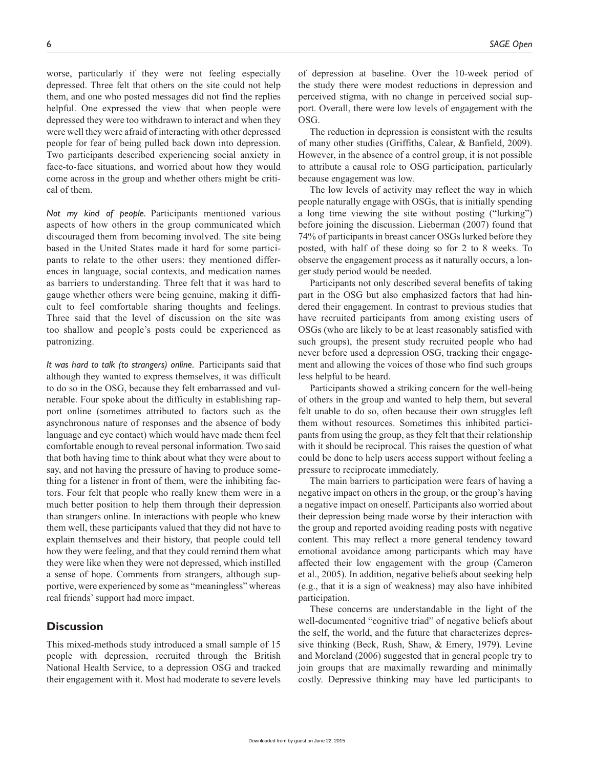worse, particularly if they were not feeling especially depressed. Three felt that others on the site could not help them, and one who posted messages did not find the replies helpful. One expressed the view that when people were depressed they were too withdrawn to interact and when they were well they were afraid of interacting with other depressed people for fear of being pulled back down into depression. Two participants described experiencing social anxiety in face-to-face situations, and worried about how they would come across in the group and whether others might be critical of them.

*Not my kind of people.* Participants mentioned various aspects of how others in the group communicated which discouraged them from becoming involved. The site being based in the United States made it hard for some participants to relate to the other users: they mentioned differences in language, social contexts, and medication names as barriers to understanding. Three felt that it was hard to gauge whether others were being genuine, making it difficult to feel comfortable sharing thoughts and feelings. Three said that the level of discussion on the site was too shallow and people's posts could be experienced as patronizing.

*It was hard to talk (to strangers) online.* Participants said that although they wanted to express themselves, it was difficult to do so in the OSG, because they felt embarrassed and vulnerable. Four spoke about the difficulty in establishing rapport online (sometimes attributed to factors such as the asynchronous nature of responses and the absence of body language and eye contact) which would have made them feel comfortable enough to reveal personal information. Two said that both having time to think about what they were about to say, and not having the pressure of having to produce something for a listener in front of them, were the inhibiting factors. Four felt that people who really knew them were in a much better position to help them through their depression than strangers online. In interactions with people who knew them well, these participants valued that they did not have to explain themselves and their history, that people could tell how they were feeling, and that they could remind them what they were like when they were not depressed, which instilled a sense of hope. Comments from strangers, although supportive, were experienced by some as "meaningless" whereas real friends' support had more impact.

## **Discussion**

This mixed-methods study introduced a small sample of 15 people with depression, recruited through the British National Health Service, to a depression OSG and tracked their engagement with it. Most had moderate to severe levels

of depression at baseline. Over the 10-week period of the study there were modest reductions in depression and perceived stigma, with no change in perceived social support. Overall, there were low levels of engagement with the OSG.

The reduction in depression is consistent with the results of many other studies (Griffiths, Calear, & Banfield, 2009). However, in the absence of a control group, it is not possible to attribute a causal role to OSG participation, particularly because engagement was low.

The low levels of activity may reflect the way in which people naturally engage with OSGs, that is initially spending a long time viewing the site without posting ("lurking") before joining the discussion. Lieberman (2007) found that 74% of participants in breast cancer OSGs lurked before they posted, with half of these doing so for 2 to 8 weeks. To observe the engagement process as it naturally occurs, a longer study period would be needed.

Participants not only described several benefits of taking part in the OSG but also emphasized factors that had hindered their engagement. In contrast to previous studies that have recruited participants from among existing users of OSGs (who are likely to be at least reasonably satisfied with such groups), the present study recruited people who had never before used a depression OSG, tracking their engagement and allowing the voices of those who find such groups less helpful to be heard.

Participants showed a striking concern for the well-being of others in the group and wanted to help them, but several felt unable to do so, often because their own struggles left them without resources. Sometimes this inhibited participants from using the group, as they felt that their relationship with it should be reciprocal. This raises the question of what could be done to help users access support without feeling a pressure to reciprocate immediately.

The main barriers to participation were fears of having a negative impact on others in the group, or the group's having a negative impact on oneself. Participants also worried about their depression being made worse by their interaction with the group and reported avoiding reading posts with negative content. This may reflect a more general tendency toward emotional avoidance among participants which may have affected their low engagement with the group (Cameron et al., 2005). In addition, negative beliefs about seeking help (e.g., that it is a sign of weakness) may also have inhibited participation.

These concerns are understandable in the light of the well-documented "cognitive triad" of negative beliefs about the self, the world, and the future that characterizes depressive thinking (Beck, Rush, Shaw, & Emery, 1979). Levine and Moreland (2006) suggested that in general people try to join groups that are maximally rewarding and minimally costly. Depressive thinking may have led participants to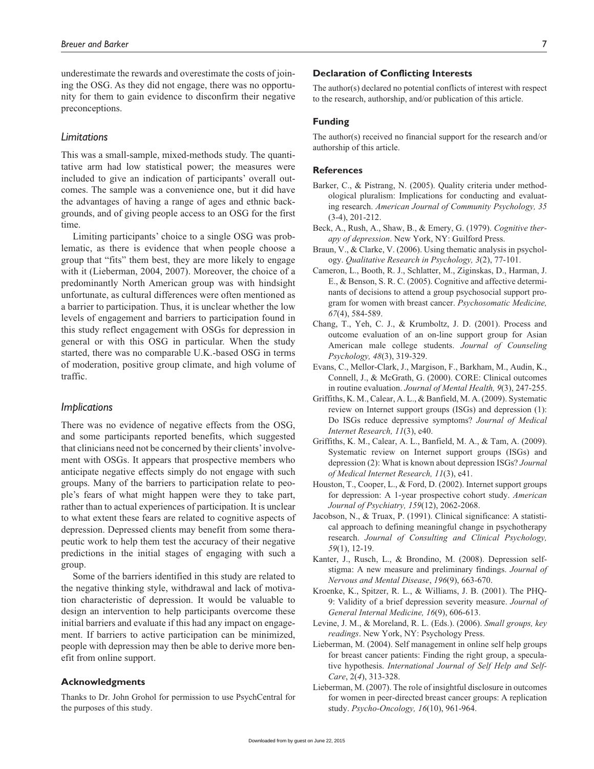underestimate the rewards and overestimate the costs of joining the OSG. As they did not engage, there was no opportunity for them to gain evidence to disconfirm their negative preconceptions.

#### *Limitations*

This was a small-sample, mixed-methods study. The quantitative arm had low statistical power; the measures were included to give an indication of participants' overall outcomes. The sample was a convenience one, but it did have the advantages of having a range of ages and ethnic backgrounds, and of giving people access to an OSG for the first time.

Limiting participants' choice to a single OSG was problematic, as there is evidence that when people choose a group that "fits" them best, they are more likely to engage with it (Lieberman, 2004, 2007). Moreover, the choice of a predominantly North American group was with hindsight unfortunate, as cultural differences were often mentioned as a barrier to participation. Thus, it is unclear whether the low levels of engagement and barriers to participation found in this study reflect engagement with OSGs for depression in general or with this OSG in particular. When the study started, there was no comparable U.K.-based OSG in terms of moderation, positive group climate, and high volume of traffic.

## *Implications*

There was no evidence of negative effects from the OSG, and some participants reported benefits, which suggested that clinicians need not be concerned by their clients' involvement with OSGs. It appears that prospective members who anticipate negative effects simply do not engage with such groups. Many of the barriers to participation relate to people's fears of what might happen were they to take part, rather than to actual experiences of participation. It is unclear to what extent these fears are related to cognitive aspects of depression. Depressed clients may benefit from some therapeutic work to help them test the accuracy of their negative predictions in the initial stages of engaging with such a group.

Some of the barriers identified in this study are related to the negative thinking style, withdrawal and lack of motivation characteristic of depression. It would be valuable to design an intervention to help participants overcome these initial barriers and evaluate if this had any impact on engagement. If barriers to active participation can be minimized, people with depression may then be able to derive more benefit from online support.

## **Acknowledgments**

Thanks to Dr. John Grohol for permission to use PsychCentral for the purposes of this study.

#### **Declaration of Conflicting Interests**

The author(s) declared no potential conflicts of interest with respect to the research, authorship, and/or publication of this article.

#### **Funding**

The author(s) received no financial support for the research and/or authorship of this article.

## **References**

- Barker, C., & Pistrang, N. (2005). Quality criteria under methodological pluralism: Implications for conducting and evaluating research. *American Journal of Community Psychology, 35* (3-4), 201-212.
- Beck, A., Rush, A., Shaw, B., & Emery, G. (1979). *Cognitive therapy of depression*. New York, NY: Guilford Press.
- Braun, V., & Clarke, V. (2006). Using thematic analysis in psychology. *Qualitative Research in Psychology, 3*(2), 77-101.
- Cameron, L., Booth, R. J., Schlatter, M., Ziginskas, D., Harman, J. E., & Benson, S. R. C. (2005). Cognitive and affective determinants of decisions to attend a group psychosocial support program for women with breast cancer. *Psychosomatic Medicine, 67*(4), 584-589.
- Chang, T., Yeh, C. J., & Krumboltz, J. D. (2001). Process and outcome evaluation of an on-line support group for Asian American male college students. *Journal of Counseling Psychology, 48*(3), 319-329.
- Evans, C., Mellor-Clark, J., Margison, F., Barkham, M., Audin, K., Connell, J., & McGrath, G. (2000). CORE: Clinical outcomes in routine evaluation. *Journal of Mental Health, 9*(3), 247-255.
- Griffiths, K. M., Calear, A. L., & Banfield, M. A. (2009). Systematic review on Internet support groups (ISGs) and depression (1): Do ISGs reduce depressive symptoms? *Journal of Medical Internet Research, 11*(3), e40.
- Griffiths, K. M., Calear, A. L., Banfield, M. A., & Tam, A. (2009). Systematic review on Internet support groups (ISGs) and depression (2): What is known about depression ISGs? *Journal of Medical Internet Research, 11*(3), e41.
- Houston, T., Cooper, L., & Ford, D. (2002). Internet support groups for depression: A 1-year prospective cohort study. *American Journal of Psychiatry, 159*(12), 2062-2068.
- Jacobson, N., & Truax, P. (1991). Clinical significance: A statistical approach to defining meaningful change in psychotherapy research. *Journal of Consulting and Clinical Psychology, 59*(1), 12-19.
- Kanter, J., Rusch, L., & Brondino, M. (2008). Depression selfstigma: A new measure and preliminary findings. *Journal of Nervous and Mental Disease*, *196*(9), 663-670.
- Kroenke, K., Spitzer, R. L., & Williams, J. B. (2001). The PHQ-9: Validity of a brief depression severity measure. *Journal of General Internal Medicine, 16*(9), 606-613.
- Levine, J. M., & Moreland, R. L. (Eds.). (2006). *Small groups, key readings*. New York, NY: Psychology Press.
- Lieberman, M. (2004). Self management in online self help groups for breast cancer patients: Finding the right group, a speculative hypothesis. *International Journal of Self Help and Self-Care*, 2(*4*), 313-328.
- Lieberman, M. (2007). The role of insightful disclosure in outcomes for women in peer-directed breast cancer groups: A replication study. *Psycho-Oncology, 16*(10), 961-964.